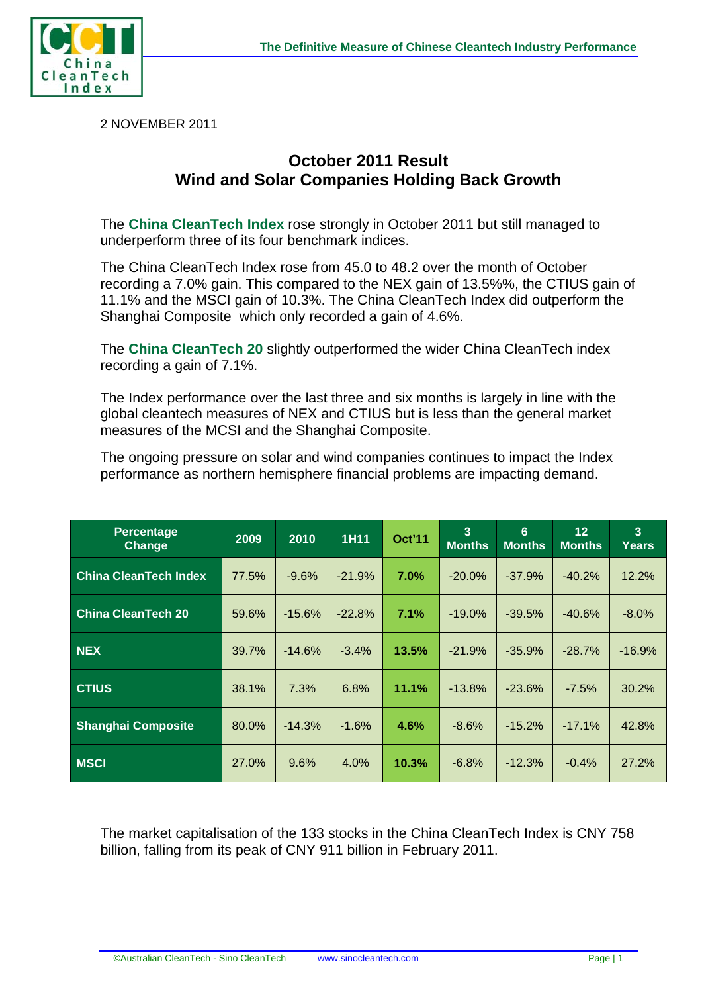

2 NOVEMBER 2011

## **October 2011 Result Wind and Solar Companies Holding Back Growth**

The **China CleanTech Index** rose strongly in October 2011 but still managed to underperform three of its four benchmark indices.

The China CleanTech Index rose from 45.0 to 48.2 over the month of October recording a 7.0% gain. This compared to the NEX gain of 13.5%%, the CTIUS gain of 11.1% and the MSCI gain of 10.3%. The China CleanTech Index did outperform the Shanghai Composite which only recorded a gain of 4.6%.

The **China CleanTech 20** slightly outperformed the wider China CleanTech index recording a gain of 7.1%.

The Index performance over the last three and six months is largely in line with the global cleantech measures of NEX and CTIUS but is less than the general market measures of the MCSI and the Shanghai Composite.

The ongoing pressure on solar and wind companies continues to impact the Index performance as northern hemisphere financial problems are impacting demand.

| <b>Percentage</b><br><b>Change</b> | 2009  | 2010     | <b>1H11</b> | <b>Oct'11</b> | 3 <sup>2</sup><br><b>Months</b> | 6<br><b>Months</b> | 12<br><b>Months</b> | $\overline{3}$<br>Years |
|------------------------------------|-------|----------|-------------|---------------|---------------------------------|--------------------|---------------------|-------------------------|
| <b>China CleanTech Index</b>       | 77.5% | $-9.6%$  | $-21.9%$    | 7.0%          | $-20.0%$                        | $-37.9%$           | $-40.2%$            | 12.2%                   |
| <b>China CleanTech 20</b>          | 59.6% | $-15.6%$ | $-22.8%$    | 7.1%          | $-19.0%$                        | $-39.5%$           | $-40.6%$            | $-8.0\%$                |
| <b>NEX</b>                         | 39.7% | $-14.6%$ | $-3.4%$     | 13.5%         | $-21.9%$                        | $-35.9%$           | $-28.7%$            | $-16.9%$                |
| <b>CTIUS</b>                       | 38.1% | 7.3%     | 6.8%        | 11.1%         | $-13.8%$                        | $-23.6%$           | $-7.5%$             | 30.2%                   |
| <b>Shanghai Composite</b>          | 80.0% | $-14.3%$ | $-1.6%$     | 4.6%          | $-8.6%$                         | $-15.2%$           | $-17.1%$            | 42.8%                   |
| <b>MSCI</b>                        | 27.0% | 9.6%     | 4.0%        | 10.3%         | $-6.8%$                         | $-12.3%$           | $-0.4%$             | 27.2%                   |

The market capitalisation of the 133 stocks in the China CleanTech Index is CNY 758 billion, falling from its peak of CNY 911 billion in February 2011.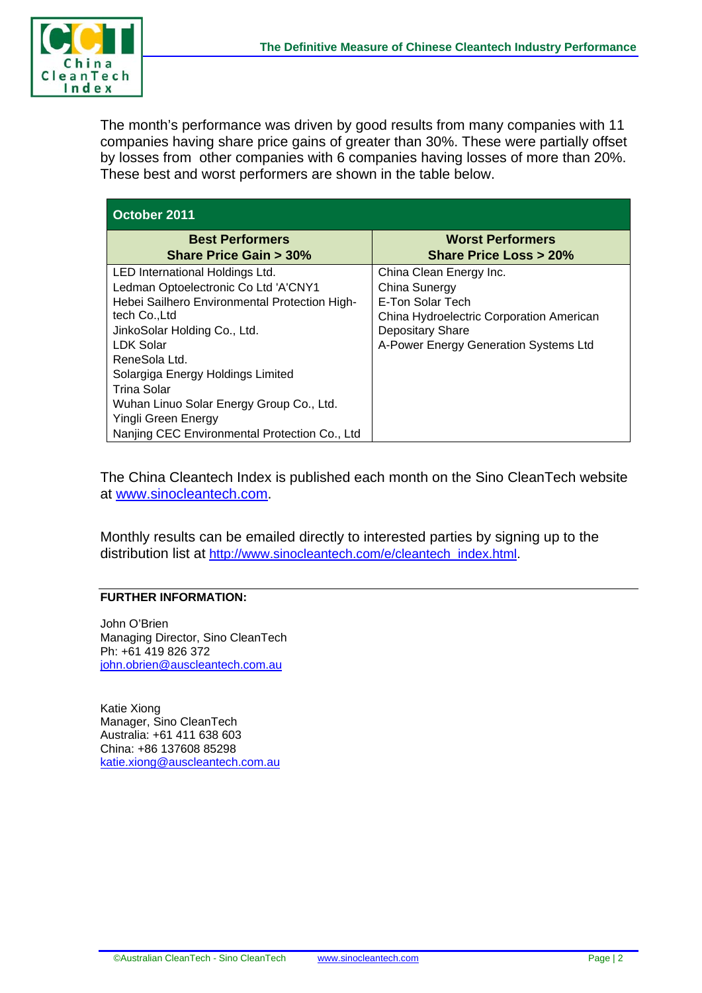

The month's performance was driven by good results from many companies with 11 companies having share price gains of greater than 30%. These were partially offset by losses from other companies with 6 companies having losses of more than 20%. These best and worst performers are shown in the table below.

| October 2011                                                                                                                                                                                                                                                                                                                                                              |                                                                                                                                                                                                                  |  |  |  |  |  |
|---------------------------------------------------------------------------------------------------------------------------------------------------------------------------------------------------------------------------------------------------------------------------------------------------------------------------------------------------------------------------|------------------------------------------------------------------------------------------------------------------------------------------------------------------------------------------------------------------|--|--|--|--|--|
| <b>Best Performers</b>                                                                                                                                                                                                                                                                                                                                                    | <b>Worst Performers</b>                                                                                                                                                                                          |  |  |  |  |  |
| <b>Share Price Gain &gt; 30%</b><br>LED International Holdings Ltd.<br>Ledman Optoelectronic Co Ltd 'A'CNY1<br>Hebei Sailhero Environmental Protection High-<br>tech Co., Ltd<br>JinkoSolar Holding Co., Ltd.<br><b>LDK Solar</b><br>ReneSola Ltd.<br>Solargiga Energy Holdings Limited<br>Trina Solar<br>Wuhan Linuo Solar Energy Group Co., Ltd.<br>Yingli Green Energy | <b>Share Price Loss &gt; 20%</b><br>China Clean Energy Inc.<br>China Sunergy<br>E-Ton Solar Tech<br>China Hydroelectric Corporation American<br><b>Depositary Share</b><br>A-Power Energy Generation Systems Ltd |  |  |  |  |  |
| Nanjing CEC Environmental Protection Co., Ltd                                                                                                                                                                                                                                                                                                                             |                                                                                                                                                                                                                  |  |  |  |  |  |

The China Cleantech Index is published each month on the Sino CleanTech website at [www.sinocleantech.com](http://www.sinocleantech.com/).

Monthly results can be emailed directly to interested parties by signing up to the distribution list at [http://www.sinocleantech.com/e/cleantech\\_index.html.](http://www.sinocleantech.com/e/cleantech_index.html)

## **FURTHER INFORMATION:**

John O'Brien Managing Director, Sino CleanTech Ph: +61 419 826 372 [john.obrien@auscleantech.com.au](mailto:john.obrien@auscleantech.com.au)

Katie Xiong Manager, Sino CleanTech Australia: +61 411 638 603 China: +86 137608 85298 [katie.xiong@auscleantech.com.au](mailto:katie.xiong@auscleantech.com.au)